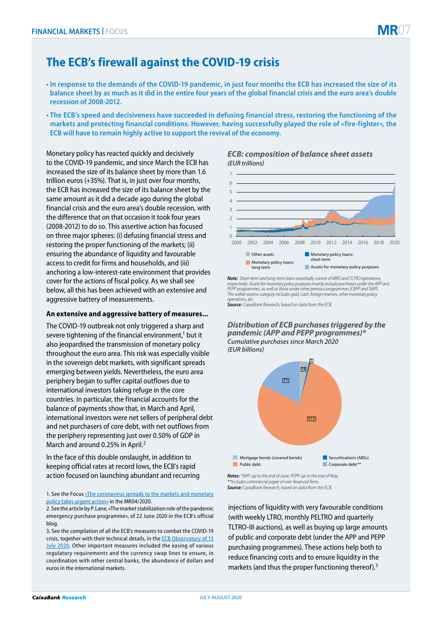

- **In response to the demands of the COVID-19 pandemic, in just four months the ECB has increased the size of its balance sheet by as much as it did in the entire four years of the global financial crisis and the euro area's double recession of 2008-2012.**
- **The ECB's speed and decisiveness have succeeded in defusing financial stress, restoring the functioning of the markets and protecting financial conditions. However, having successfully played the role of «fire-fighter», the ECB will have to remain highly active to support the revival of the economy.**

Monetary policy has reacted quickly and decisively to the COVID-19 pandemic, and since March the ECB has increased the size of its balance sheet by more than 1.6 trillion euros (+35%). That is, in just over four months, the ECB has increased the size of its balance sheet by the same amount as it did a decade ago during the global financial crisis and the euro area's double recession, with the difference that on that occasion it took four years (2008-2012) to do so. This assertive action has focused on three major spheres: (i) defusing financial stress and restoring the proper functioning of the markets; (ii) ensuring the abundance of liquidity and favourable access to credit for firms and households, and (iii) anchoring a low-interest-rate environment that provides cover for the actions of fiscal policy. As we shall see below, all this has been achieved with an extensive and aggressive battery of measurements.

#### **An extensive and aggressive battery of measures...**

The COVID-19 outbreak not only triggered a sharp and severe tightening of the financial environment, $1$  but it also jeopardised the transmission of monetary policy throughout the euro area. This risk was especially visible in the sovereign debt markets, with significant spreads emerging between yields. Nevertheless, the euro area periphery began to suffer capital outflows due to international investors taking refuge in the core countries. In particular, the financial accounts for the balance of payments show that, in March and April, international investors were net sellers of peripheral debt and net purchasers of core debt, with net outflows from the periphery representing just over 0.50% of GDP in March and around 0.25% in April.<sup>2</sup>

In the face of this double onslaught, in addition to keeping official rates at record lows, the ECB's rapid action focused on launching abundant and recurring

1. See the Focus «The coronavirus spreads to the markets and monetary policy takes urgent action» in the MR04/2020.

# *ECB: composition of balance sheet assets (EUR trillions)*



*Note: Short-term and long-term loans essentially consist of MRO and TLTRO operations,*  respectively. Assets for monetary policy purposes mainly include purchases under the APP and<br>PEPP programmes, as well as those under other previous programmes (CBPP and SMP). *The «other assets» category includes gold, cash, foreign reserves, other monetary policy operations, etc. Source: CaixaBank Research, based on data from the ECB.*

*Distribution of ECB purchases triggered by the pandemic (APP and PEPP programmes)\* Cumulative purchases since March 2020 (EUR billions)*



*Source: CaixaBank Research, based on data from the ECB. \*\*Includes commercial paper of non-financial firms.*

injections of liquidity with very favourable conditions (with weekly LTRO, monthly PELTRO and quarterly TLTRO-III auctions), as well as buying up large amounts of public and corporate debt (under the APP and PEPP purchasing programmes). These actions help both to reduce financing costs and to ensure liquidity in the markets (and thus the proper functioning thereof).<sup>3</sup>

<sup>2.</sup> See the article by P. Lane, «The market stabilization role of the pandemic emergency purchase programme», of 22 June 2020 in the ECB's official blog.

<sup>3.</sup> See the compilation of all the ECB's measures to combat the COVID-19 crisis, together with their technical details, in the ECB Observatory of 13 July 2020. Other important measures included the easing of various regulatory requirements and the currency swap lines to ensure, in coordination with other central banks, the abundance of dollars and euros in the international markets.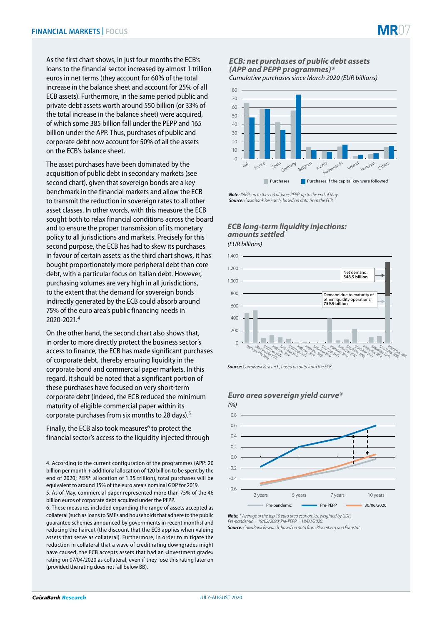

The asset purchases have been dominated by the acquisition of public debt in secondary markets (see second chart), given that sovereign bonds are a key benchmark in the financial markets and allow the ECB to transmit the reduction in sovereign rates to all other asset classes. In other words, with this measure the ECB sought both to relax financial conditions across the board and to ensure the proper transmission of its monetary policy to all jurisdictions and markets. Precisely for this second purpose, the ECB has had to skew its purchases in favour of certain assets: as the third chart shows, it has bought proportionately more peripheral debt than core debt, with a particular focus on Italian debt. However, purchasing volumes are very high in all jurisdictions, to the extent that the demand for sovereign bonds indirectly generated by the ECB could absorb around 75% of the euro area's public financing needs in 2020-2021.4

On the other hand, the second chart also shows that, in order to more directly protect the business sector's access to finance, the ECB has made significant purchases of corporate debt, thereby ensuring liquidity in the corporate bond and commercial paper markets. In this regard, it should be noted that a significant portion of these purchases have focused on very short-term corporate debt (indeed, the ECB reduced the minimum maturity of eligible commercial paper within its corporate purchases from six months to 28 days).5

Finally, the ECB also took measures<sup>6</sup> to protect the financial sector's access to the liquidity injected through

4. According to the current configuration of the programmes (APP: 20 billion per month + additional allocation of 120 billion to be spent by the end of 2020; PEPP: allocation of 1.35 trillion), total purchases will be equivalent to around 15% of the euro area's nominal GDP for 2019.

5. As of May, commercial paper represented more than 75% of the 46 billion euros of corporate debt acquired under the PEPP.

6. These measures included expanding the range of assets accepted as collateral (such as loans to SMEs and households that adhere to the public guarantee schemes announced by governments in recent months) and reducing the haircut (the discount that the ECB applies when valuing assets that serve as collateral). Furthermore, in order to mitigate the reduction in collateral that a wave of credit rating downgrades might have caused, the ECB accepts assets that had an «investment grade» rating on 07/04/2020 as collateral, even if they lose this rating later on (provided the rating does not fall below BB).

#### *Cumulative purchases since March 2020 (EUR billions) ECB: net purchases of public debt assets (APP and PEPP programmes)\**



*Note: \*APP: up to the end of June; PEPP: up to the end of May. Source: CaixaBank Research, based on data from the ECB.*

### *(EUR billions) ECB long-term liquidity injections: amounts settled*



*Source: CaixaBank Research, based on data from the ECB.*

# *Euro area sovereign yield curve\**



*Note: \* Average of the top 10 euro area economies, weighted by GDP. Pre-pandemic = 19/02/2020; Pre-PEPP = 18/03/2020. Source: CaixaBank Research, based on data from Bloomberg and Eurostat.*